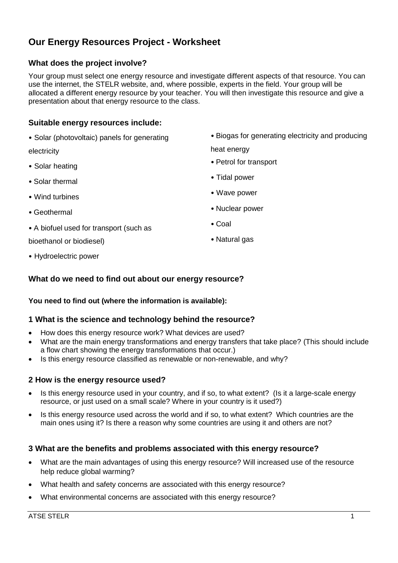# **Our Energy Resources Project - Worksheet**

# **What does the project involve?**

Your group must select one energy resource and investigate different aspects of that resource. You can use the internet, the STELR website, and, where possible, experts in the field. Your group will be allocated a different energy resource by your teacher. You will then investigate this resource and give a presentation about that energy resource to the class.

## **Suitable energy resources include:**

• Solar (photovoltaic) panels for generating

electricity

- Solar heating
- Solar thermal
- Wind turbines
- Geothermal
- A biofuel used for transport (such as

bioethanol or biodiesel)

• Biogas for generating electricity and producing

heat energy

- Petrol for transport
- Tidal power
- Wave power
- Nuclear power
- Coal
- Natural gas

• Hydroelectric power

## **What do we need to find out about our energy resource?**

#### **You need to find out (where the information is available):**

#### **1 What is the science and technology behind the resource?**

- How does this energy resource work? What devices are used?
- What are the main energy transformations and energy transfers that take place? (This should include a flow chart showing the energy transformations that occur.)
- Is this energy resource classified as renewable or non-renewable, and why?

#### **2 How is the energy resource used?**

- Is this energy resource used in your country, and if so, to what extent? (Is it a large-scale energy resource, or just used on a small scale? Where in your country is it used?)
- Is this energy resource used across the world and if so, to what extent? Which countries are the main ones using it? Is there a reason why some countries are using it and others are not?

#### **3 What are the benefits and problems associated with this energy resource?**

- What are the main advantages of using this energy resource? Will increased use of the resource help reduce global warming?
- What health and safety concerns are associated with this energy resource?
- What environmental concerns are associated with this energy resource?